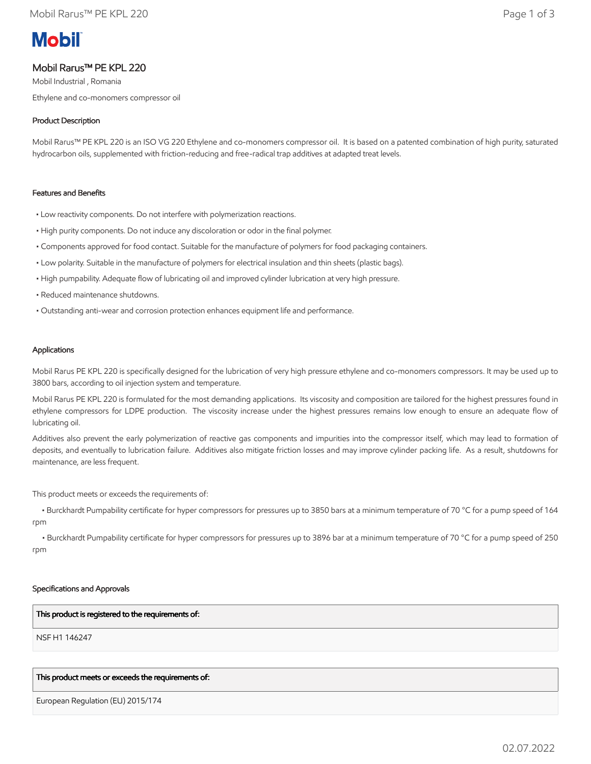# **Mobil**

# Mobil Rarus™ PE KPL 220

Mobil Industrial , Romania Ethylene and co-monomers compressor oil

# Product Description

Mobil Rarus™ PE KPL 220 is an ISO VG 220 Ethylene and co-monomers compressor oil. It is based on a patented combination of high purity, saturated hydrocarbon oils, supplemented with friction-reducing and free-radical trap additives at adapted treat levels.

# Features and Benefits

- Low reactivity components. Do not interfere with polymerization reactions.
- High purity components. Do not induce any discoloration or odor in the final polymer.
- Components approved for food contact. Suitable for the manufacture of polymers for food packaging containers.
- Low polarity. Suitable in the manufacture of polymers for electrical insulation and thin sheets (plastic bags).
- High pumpability. Adequate flow of lubricating oil and improved cylinder lubrication at very high pressure.
- Reduced maintenance shutdowns.
- Outstanding anti-wear and corrosion protection enhances equipment life and performance.

# Applications

Mobil Rarus PE KPL 220 is specifically designed for the lubrication of very high pressure ethylene and co-monomers compressors. It may be used up to 3800 bars, according to oil injection system and temperature.

Mobil Rarus PE KPL 220 is formulated for the most demanding applications. Its viscosity and composition are tailored for the highest pressures found in ethylene compressors for LDPE production. The viscosity increase under the highest pressures remains low enough to ensure an adequate flow of lubricating oil.

Additives also prevent the early polymerization of reactive gas components and impurities into the compressor itself, which may lead to formation of deposits, and eventually to lubrication failure. Additives also mitigate friction losses and may improve cylinder packing life. As a result, shutdowns for maintenance, are less frequent.

This product meets or exceeds the requirements of:

 • Burckhardt Pumpability certificate for hyper compressors for pressures up to 3850 bars at a minimum temperature of 70 °C for a pump speed of 164 rpm

 • Burckhardt Pumpability certificate for hyper compressors for pressures up to 3896 bar at a minimum temperature of 70 °C for a pump speed of 250 rpm

# Specifications and Approvals

# This product is registered to the requirements of:

NSF H1 146247

# This product meets or exceeds the requirements of:

European Regulation (EU) 2015/174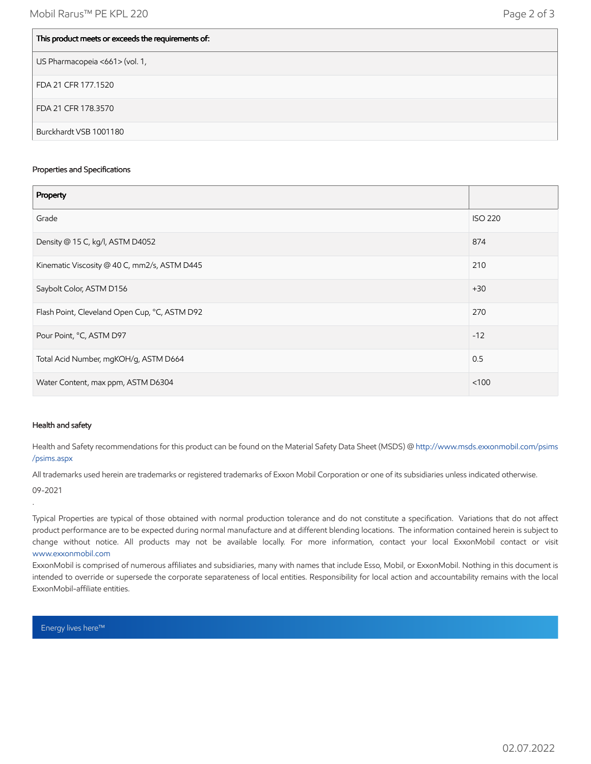| This product meets or exceeds the requirements of: |
|----------------------------------------------------|
| US Pharmacopeia <661> (vol. 1,                     |
| FDA 21 CFR 177.1520                                |
| FDA 21 CFR 178.3570                                |
| Burckhardt VSB 1001180                             |

#### Properties and Specifications

| Property                                      |                |
|-----------------------------------------------|----------------|
| Grade                                         | <b>ISO 220</b> |
| Density @ 15 C, kg/l, ASTM D4052              | 874            |
| Kinematic Viscosity @ 40 C, mm2/s, ASTM D445  | 210            |
| Saybolt Color, ASTM D156                      | $+30$          |
| Flash Point, Cleveland Open Cup, °C, ASTM D92 | 270            |
| Pour Point, °C, ASTM D97                      | $-12$          |
| Total Acid Number, mgKOH/g, ASTM D664         | 0.5            |
| Water Content, max ppm, ASTM D6304            | < 100          |

# Health and safety

Health and Safety recommendations for this product can be found on the Material Safety Data Sheet (MSDS) @ [http://www.msds.exxonmobil.com/psims](http://www.msds.exxonmobil.com/psims/psims.aspx) /psims.aspx

All trademarks used herein are trademarks or registered trademarks of Exxon Mobil Corporation or one of its subsidiaries unless indicated otherwise.

09-2021

.

Typical Properties are typical of those obtained with normal production tolerance and do not constitute a specification. Variations that do not affect product performance are to be expected during normal manufacture and at different blending locations. The information contained herein is subject to change without notice. All products may not be available locally. For more information, contact your local ExxonMobil contact or visit [www.exxonmobil.com](http://www.exxonmobil.com/)

ExxonMobil is comprised of numerous affiliates and subsidiaries, many with names that include Esso, Mobil, or ExxonMobil. Nothing in this document is intended to override or supersede the corporate separateness of local entities. Responsibility for local action and accountability remains with the local ExxonMobil-affiliate entities.

Energy lives here™